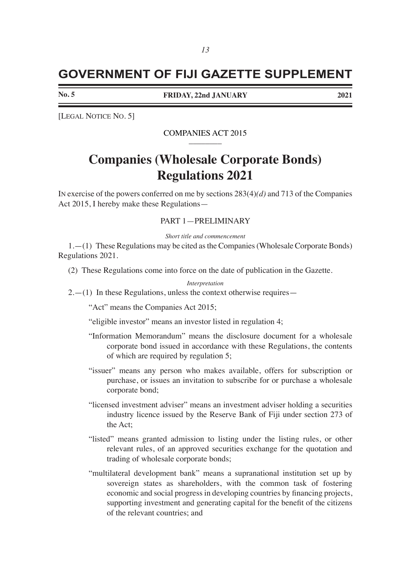# **GOVERNMENT OF FIJI GAZETTE SUPPLEMENT**

**No. 5**

**FRIDAY, 22nd JANUARY 2021**

[LEGAL NOTICE NO. 5]

# COMPANIES ACT 2015

# **Companies (Wholesale Corporate Bonds) Regulations 2021**

IN exercise of the powers conferred on me by sections 283(4)*(d)* and 713 of the Companies Act 2015, I hereby make these Regulations—

### PART 1—PRELIMINARY

*Short title and commencement*

1.—(1) These Regulations may be cited as the Companies (Wholesale Corporate Bonds) Regulations 2021.

(2) These Regulations come into force on the date of publication in the Gazette.

#### *Interpretation*

 $2.-(1)$  In these Regulations, unless the context otherwise requires—

"Act" means the Companies Act 2015;

"eligible investor" means an investor listed in regulation 4;

- "Information Memorandum" means the disclosure document for a wholesale corporate bond issued in accordance with these Regulations, the contents of which are required by regulation 5;
- "issuer" means any person who makes available, offers for subscription or purchase, or issues an invitation to subscribe for or purchase a wholesale corporate bond;
- "licensed investment adviser" means an investment adviser holding a securities industry licence issued by the Reserve Bank of Fiji under section 273 of the Act;
- "listed" means granted admission to listing under the listing rules, or other relevant rules, of an approved securities exchange for the quotation and trading of wholesale corporate bonds;
- "multilateral development bank" means a supranational institution set up by sovereign states as shareholders, with the common task of fostering economic and social progress in developing countries by financing projects, supporting investment and generating capital for the benefit of the citizens of the relevant countries; and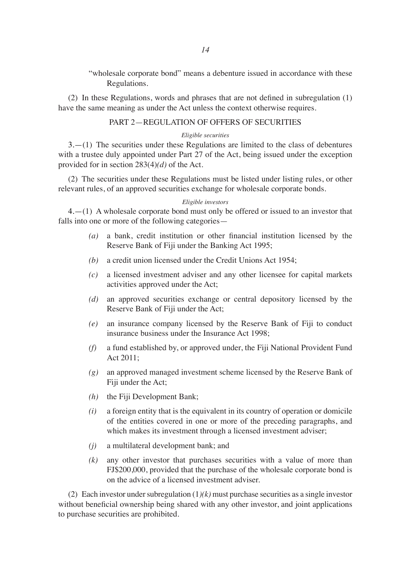"wholesale corporate bond" means a debenture issued in accordance with these Regulations.

(2) In these Regulations, words and phrases that are not defined in subregulation (1) have the same meaning as under the Act unless the context otherwise requires.

# PART 2—REGULATION OF OFFERS OF SECURITIES

#### *Eligible securities*

3.—(1) The securities under these Regulations are limited to the class of debentures with a trustee duly appointed under Part 27 of the Act, being issued under the exception provided for in section 283(4)*(d)* of the Act.

(2) The securities under these Regulations must be listed under listing rules, or other relevant rules, of an approved securities exchange for wholesale corporate bonds.

#### *Eligible investors*

4.—(1) A wholesale corporate bond must only be offered or issued to an investor that falls into one or more of the following categories—

- *(a)* a bank, credit institution or other financial institution licensed by the Reserve Bank of Fiji under the Banking Act 1995;
- *(b)* a credit union licensed under the Credit Unions Act 1954;
- *(c)* a licensed investment adviser and any other licensee for capital markets activities approved under the Act;
- *(d)* an approved securities exchange or central depository licensed by the Reserve Bank of Fiji under the Act;
- *(e)* an insurance company licensed by the Reserve Bank of Fiji to conduct insurance business under the Insurance Act 1998;
- *(f)* a fund established by, or approved under, the Fiji National Provident Fund Act 2011;
- *(g)* an approved managed investment scheme licensed by the Reserve Bank of Fiji under the Act;
- *(h)* the Fiji Development Bank;
- *(i)* a foreign entity that is the equivalent in its country of operation or domicile of the entities covered in one or more of the preceding paragraphs, and which makes its investment through a licensed investment adviser;
- *(j)* a multilateral development bank; and
- *(k)* any other investor that purchases securities with a value of more than FJ\$200,000, provided that the purchase of the wholesale corporate bond is on the advice of a licensed investment adviser.

(2) Each investor under subregulation  $(1)(k)$  must purchase securities as a single investor without beneficial ownership being shared with any other investor, and joint applications to purchase securities are prohibited.